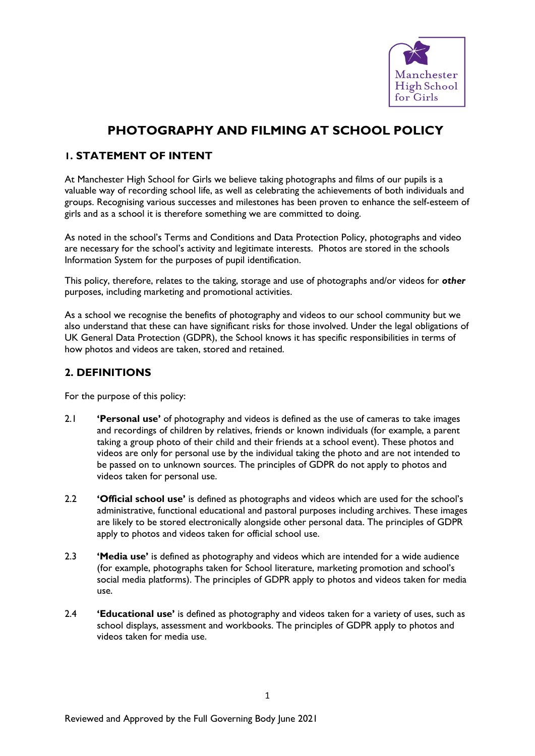

# **PHOTOGRAPHY AND FILMING AT SCHOOL POLICY**

# **1. STATEMENT OF INTENT**

At Manchester High School for Girls we believe taking photographs and films of our pupils is a valuable way of recording school life, as well as celebrating the achievements of both individuals and groups. Recognising various successes and milestones has been proven to enhance the self-esteem of girls and as a school it is therefore something we are committed to doing.

As noted in the school's Terms and Conditions and Data Protection Policy, photographs and video are necessary for the school's activity and legitimate interests. Photos are stored in the schools Information System for the purposes of pupil identification.

This policy, therefore, relates to the taking, storage and use of photographs and/or videos for *other* purposes, including marketing and promotional activities.

As a school we recognise the benefits of photography and videos to our school community but we also understand that these can have significant risks for those involved. Under the legal obligations of UK General Data Protection (GDPR), the School knows it has specific responsibilities in terms of how photos and videos are taken, stored and retained.

## **2. DEFINITIONS**

For the purpose of this policy:

- 2.1 **'Personal use'** of photography and videos is defined as the use of cameras to take images and recordings of children by relatives, friends or known individuals (for example, a parent taking a group photo of their child and their friends at a school event). These photos and videos are only for personal use by the individual taking the photo and are not intended to be passed on to unknown sources. The principles of GDPR do not apply to photos and videos taken for personal use.
- 2.2 **'Official school use'** is defined as photographs and videos which are used for the school's administrative, functional educational and pastoral purposes including archives. These images are likely to be stored electronically alongside other personal data. The principles of GDPR apply to photos and videos taken for official school use.
- 2.3 **'Media use'** is defined as photography and videos which are intended for a wide audience (for example, photographs taken for School literature, marketing promotion and school's social media platforms). The principles of GDPR apply to photos and videos taken for media use.
- 2.4 **'Educational use'** is defined as photography and videos taken for a variety of uses, such as school displays, assessment and workbooks. The principles of GDPR apply to photos and videos taken for media use.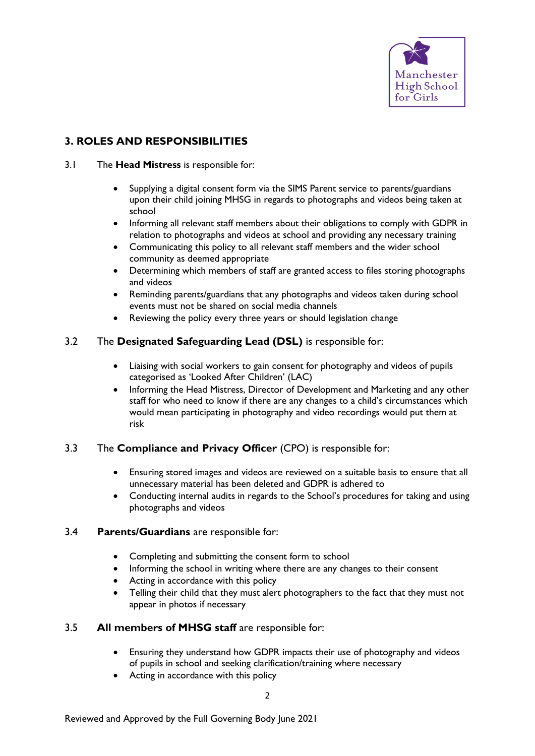

# **3. ROLES AND RESPONSIBILITIES**

- 3.1 The **Head Mistress** is responsible for:
	- Supplying a digital consent form via the SIMS Parent service to parents/guardians upon their child joining MHSG in regards to photographs and videos being taken at school
	- Informing all relevant staff members about their obligations to comply with GDPR in relation to photographs and videos at school and providing any necessary training
	- Communicating this policy to all relevant staff members and the wider school community as deemed appropriate
	- Determining which members of staff are granted access to files storing photographs and videos
	- Reminding parents/guardians that any photographs and videos taken during school events must not be shared on social media channels
	- Reviewing the policy every three years or should legislation change

## 3.2 The **Designated Safeguarding Lead (DSL)** is responsible for:

- Liaising with social workers to gain consent for photography and videos of pupils categorised as 'Looked After Children' (LAC)
- Informing the Head Mistress, Director of Development and Marketing and any other staff for who need to know if there are any changes to a child's circumstances which would mean participating in photography and video recordings would put them at risk

#### 3.3 The **Compliance and Privacy Officer** (CPO) is responsible for:

- Ensuring stored images and videos are reviewed on a suitable basis to ensure that all unnecessary material has been deleted and GDPR is adhered to
- Conducting internal audits in regards to the School's procedures for taking and using photographs and videos

#### 3.4 **Parents/Guardians** are responsible for:

- Completing and submitting the consent form to school
- Informing the school in writing where there are any changes to their consent
- Acting in accordance with this policy
- Telling their child that they must alert photographers to the fact that they must not appear in photos if necessary

#### 3.5 **All members of MHSG staff** are responsible for:

- Ensuring they understand how GDPR impacts their use of photography and videos of pupils in school and seeking clarification/training where necessary
- Acting in accordance with this policy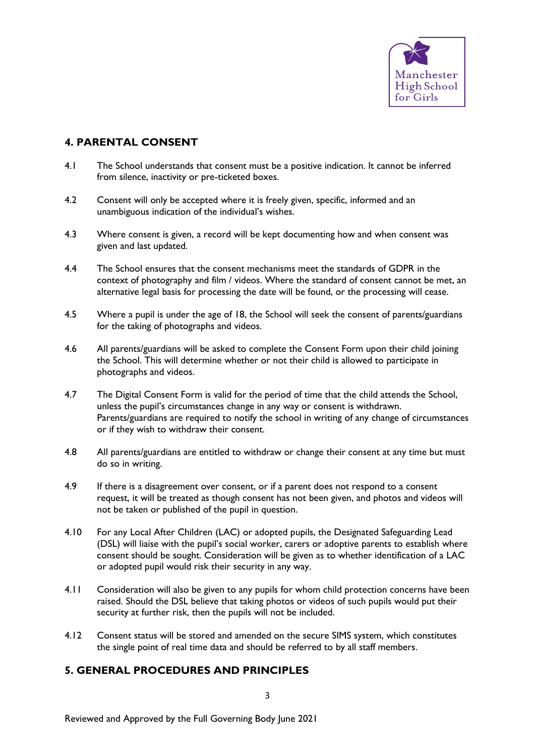

## **4. PARENTAL CONSENT**

- 4.1 The School understands that consent must be a positive indication. It cannot be inferred from silence, inactivity or pre-ticketed boxes.
- 4.2 Consent will only be accepted where it is freely given, specific, informed and an unambiguous indication of the individual's wishes.
- 4.3 Where consent is given, a record will be kept documenting how and when consent was given and last updated.
- 4.4 The School ensures that the consent mechanisms meet the standards of GDPR in the context of photography and film / videos. Where the standard of consent cannot be met, an alternative legal basis for processing the date will be found, or the processing will cease.
- 4.5 Where a pupil is under the age of 18, the School will seek the consent of parents/guardians for the taking of photographs and videos.
- 4.6 All parents/guardians will be asked to complete the Consent Form upon their child joining the School. This will determine whether or not their child is allowed to participate in photographs and videos.
- 4.7 The Digital Consent Form is valid for the period of time that the child attends the School, unless the pupil's circumstances change in any way or consent is withdrawn. Parents/guardians are required to notify the school in writing of any change of circumstances or if they wish to withdraw their consent.
- 4.8 All parents/guardians are entitled to withdraw or change their consent at any time but must do so in writing.
- 4.9 If there is a disagreement over consent, or if a parent does not respond to a consent request, it will be treated as though consent has not been given, and photos and videos will not be taken or published of the pupil in question.
- 4.10 For any Local After Children (LAC) or adopted pupils, the Designated Safeguarding Lead (DSL) will liaise with the pupil's social worker, carers or adoptive parents to establish where consent should be sought. Consideration will be given as to whether identification of a LAC or adopted pupil would risk their security in any way.
- 4.11 Consideration will also be given to any pupils for whom child protection concerns have been raised. Should the DSL believe that taking photos or videos of such pupils would put their security at further risk, then the pupils will not be included.
- 4.12 Consent status will be stored and amended on the secure SIMS system, which constitutes the single point of real time data and should be referred to by all staff members.

# **5. GENERAL PROCEDURES AND PRINCIPLES**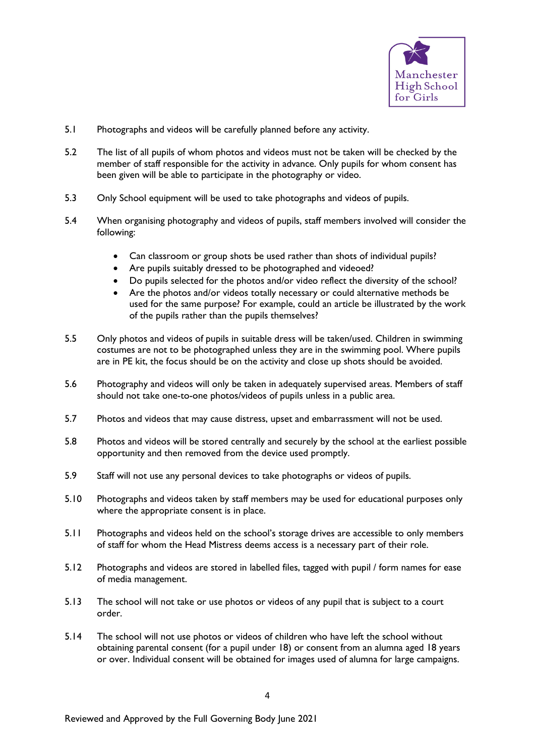

- 5.1 Photographs and videos will be carefully planned before any activity.
- 5.2 The list of all pupils of whom photos and videos must not be taken will be checked by the member of staff responsible for the activity in advance. Only pupils for whom consent has been given will be able to participate in the photography or video.
- 5.3 Only School equipment will be used to take photographs and videos of pupils.
- 5.4 When organising photography and videos of pupils, staff members involved will consider the following:
	- Can classroom or group shots be used rather than shots of individual pupils?
	- Are pupils suitably dressed to be photographed and videoed?
	- Do pupils selected for the photos and/or video reflect the diversity of the school?
	- Are the photos and/or videos totally necessary or could alternative methods be used for the same purpose? For example, could an article be illustrated by the work of the pupils rather than the pupils themselves?
- 5.5 Only photos and videos of pupils in suitable dress will be taken/used. Children in swimming costumes are not to be photographed unless they are in the swimming pool. Where pupils are in PE kit, the focus should be on the activity and close up shots should be avoided.
- 5.6 Photography and videos will only be taken in adequately supervised areas. Members of staff should not take one-to-one photos/videos of pupils unless in a public area.
- 5.7 Photos and videos that may cause distress, upset and embarrassment will not be used.
- 5.8 Photos and videos will be stored centrally and securely by the school at the earliest possible opportunity and then removed from the device used promptly.
- 5.9 Staff will not use any personal devices to take photographs or videos of pupils.
- 5.10 Photographs and videos taken by staff members may be used for educational purposes only where the appropriate consent is in place.
- 5.11 Photographs and videos held on the school's storage drives are accessible to only members of staff for whom the Head Mistress deems access is a necessary part of their role.
- 5.12 Photographs and videos are stored in labelled files, tagged with pupil / form names for ease of media management.
- 5.13 The school will not take or use photos or videos of any pupil that is subject to a court order.
- 5.14 The school will not use photos or videos of children who have left the school without obtaining parental consent (for a pupil under 18) or consent from an alumna aged 18 years or over. Individual consent will be obtained for images used of alumna for large campaigns.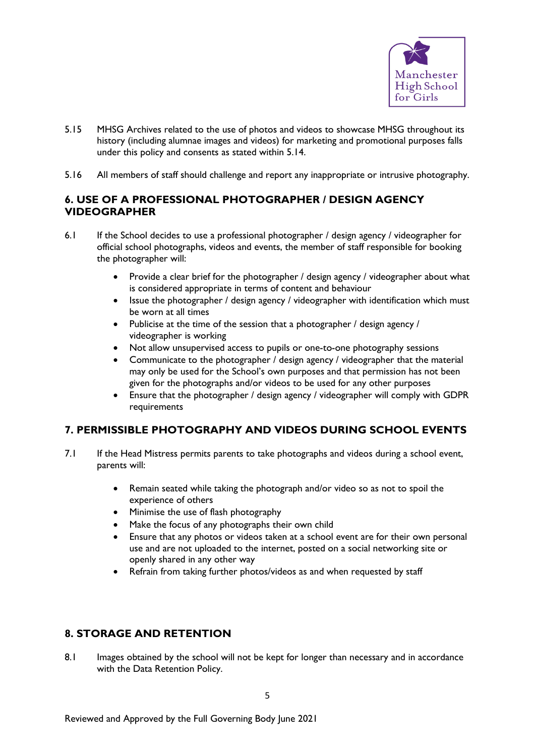

- 5.15 MHSG Archives related to the use of photos and videos to showcase MHSG throughout its history (including alumnae images and videos) for marketing and promotional purposes falls under this policy and consents as stated within 5.14.
- 5.16 All members of staff should challenge and report any inappropriate or intrusive photography.

# **6. USE OF A PROFESSIONAL PHOTOGRAPHER / DESIGN AGENCY VIDEOGRAPHER**

- 6.1 If the School decides to use a professional photographer / design agency / videographer for official school photographs, videos and events, the member of staff responsible for booking the photographer will:
	- Provide a clear brief for the photographer / design agency / videographer about what is considered appropriate in terms of content and behaviour
	- Issue the photographer / design agency / videographer with identification which must be worn at all times
	- Publicise at the time of the session that a photographer / design agency / videographer is working
	- Not allow unsupervised access to pupils or one-to-one photography sessions
	- Communicate to the photographer / design agency / videographer that the material may only be used for the School's own purposes and that permission has not been given for the photographs and/or videos to be used for any other purposes
	- Ensure that the photographer / design agency / videographer will comply with GDPR requirements

# **7. PERMISSIBLE PHOTOGRAPHY AND VIDEOS DURING SCHOOL EVENTS**

- 7.1 If the Head Mistress permits parents to take photographs and videos during a school event, parents will:
	- Remain seated while taking the photograph and/or video so as not to spoil the experience of others
	- Minimise the use of flash photography
	- Make the focus of any photographs their own child
	- Ensure that any photos or videos taken at a school event are for their own personal use and are not uploaded to the internet, posted on a social networking site or openly shared in any other way
	- Refrain from taking further photos/videos as and when requested by staff

# **8. STORAGE AND RETENTION**

8.1 Images obtained by the school will not be kept for longer than necessary and in accordance with the Data Retention Policy.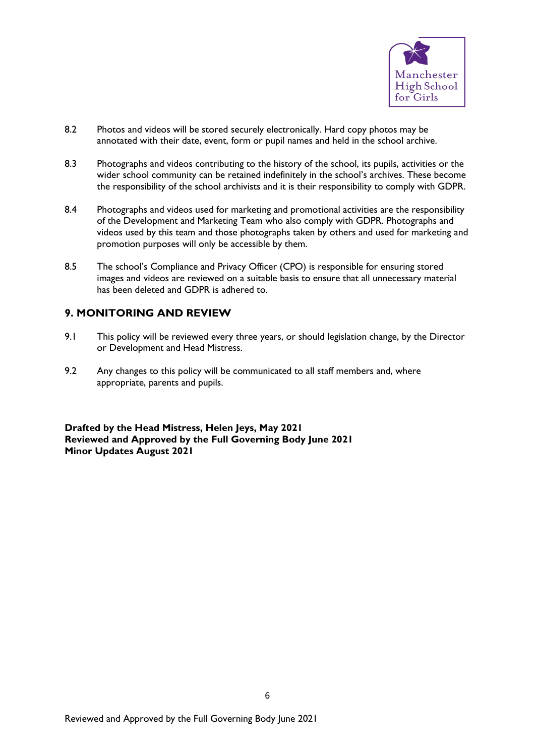

- 8.2 Photos and videos will be stored securely electronically. Hard copy photos may be annotated with their date, event, form or pupil names and held in the school archive.
- 8.3 Photographs and videos contributing to the history of the school, its pupils, activities or the wider school community can be retained indefinitely in the school's archives. These become the responsibility of the school archivists and it is their responsibility to comply with GDPR.
- 8.4 Photographs and videos used for marketing and promotional activities are the responsibility of the Development and Marketing Team who also comply with GDPR. Photographs and videos used by this team and those photographs taken by others and used for marketing and promotion purposes will only be accessible by them.
- 8.5 The school's Compliance and Privacy Officer (CPO) is responsible for ensuring stored images and videos are reviewed on a suitable basis to ensure that all unnecessary material has been deleted and GDPR is adhered to.

## **9. MONITORING AND REVIEW**

- 9.1 This policy will be reviewed every three years, or should legislation change, by the Director or Development and Head Mistress.
- 9.2 Any changes to this policy will be communicated to all staff members and, where appropriate, parents and pupils.

**Drafted by the Head Mistress, Helen Jeys, May 2021 Reviewed and Approved by the Full Governing Body June 2021 Minor Updates August 2021**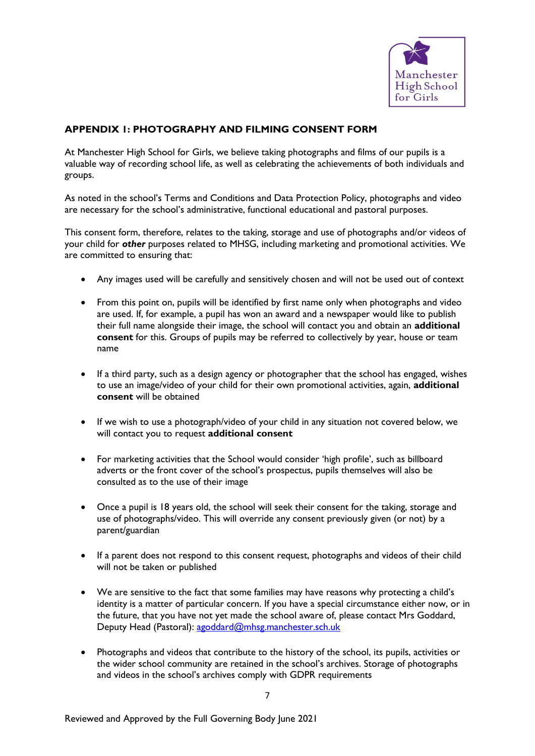

# **APPENDIX 1: PHOTOGRAPHY AND FILMING CONSENT FORM**

At Manchester High School for Girls, we believe taking photographs and films of our pupils is a valuable way of recording school life, as well as celebrating the achievements of both individuals and groups.

As noted in the school's Terms and Conditions and Data Protection Policy, photographs and video are necessary for the school's administrative, functional educational and pastoral purposes.

This consent form, therefore, relates to the taking, storage and use of photographs and/or videos of your child for *other* purposes related to MHSG, including marketing and promotional activities. We are committed to ensuring that:

- Any images used will be carefully and sensitively chosen and will not be used out of context
- From this point on, pupils will be identified by first name only when photographs and video are used. If, for example, a pupil has won an award and a newspaper would like to publish their full name alongside their image, the school will contact you and obtain an **additional consent** for this. Groups of pupils may be referred to collectively by year, house or team name
- If a third party, such as a design agency or photographer that the school has engaged, wishes to use an image/video of your child for their own promotional activities, again, **additional consent** will be obtained
- If we wish to use a photograph/video of your child in any situation not covered below, we will contact you to request **additional consent**
- For marketing activities that the School would consider 'high profile', such as billboard adverts or the front cover of the school's prospectus, pupils themselves will also be consulted as to the use of their image
- Once a pupil is 18 years old, the school will seek their consent for the taking, storage and use of photographs/video. This will override any consent previously given (or not) by a parent/guardian
- If a parent does not respond to this consent request, photographs and videos of their child will not be taken or published
- We are sensitive to the fact that some families may have reasons why protecting a child's identity is a matter of particular concern. If you have a special circumstance either now, or in the future, that you have not yet made the school aware of, please contact Mrs Goddard, Deputy Head (Pastoral): [agoddard@mhsg.manchester.sch.uk](mailto:agoddard@mhsg.manchester.sch.uk)
- Photographs and videos that contribute to the history of the school, its pupils, activities or the wider school community are retained in the school's archives. Storage of photographs and videos in the school's archives comply with GDPR requirements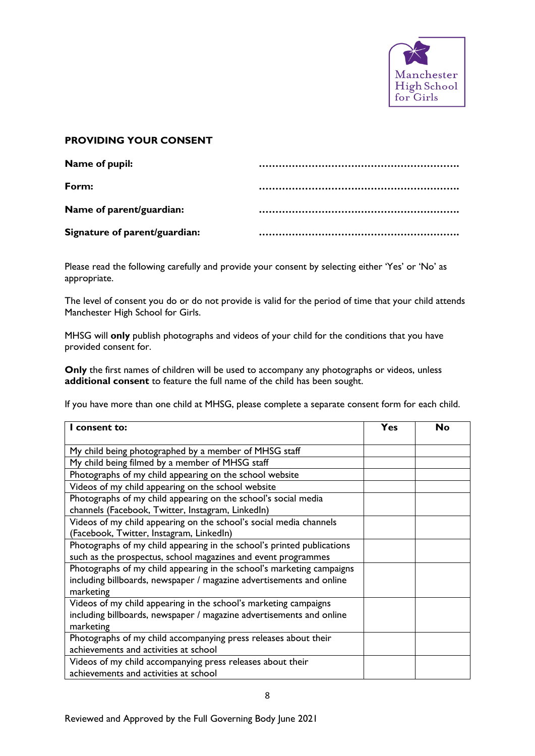

#### **PROVIDING YOUR CONSENT**

| Name of pupil:                |  |
|-------------------------------|--|
| Form:                         |  |
| Name of parent/guardian:      |  |
| Signature of parent/guardian: |  |

Please read the following carefully and provide your consent by selecting either 'Yes' or 'No' as appropriate.

The level of consent you do or do not provide is valid for the period of time that your child attends Manchester High School for Girls.

MHSG will **only** publish photographs and videos of your child for the conditions that you have provided consent for.

**Only** the first names of children will be used to accompany any photographs or videos, unless **additional consent** to feature the full name of the child has been sought.

If you have more than one child at MHSG, please complete a separate consent form for each child.

| I consent to:                                                          | Yes | No |
|------------------------------------------------------------------------|-----|----|
|                                                                        |     |    |
| My child being photographed by a member of MHSG staff                  |     |    |
| My child being filmed by a member of MHSG staff                        |     |    |
| Photographs of my child appearing on the school website                |     |    |
| Videos of my child appearing on the school website                     |     |    |
| Photographs of my child appearing on the school's social media         |     |    |
| channels (Facebook, Twitter, Instagram, LinkedIn)                      |     |    |
| Videos of my child appearing on the school's social media channels     |     |    |
| (Facebook, Twitter, Instagram, LinkedIn)                               |     |    |
| Photographs of my child appearing in the school's printed publications |     |    |
| such as the prospectus, school magazines and event programmes          |     |    |
| Photographs of my child appearing in the school's marketing campaigns  |     |    |
| including billboards, newspaper / magazine advertisements and online   |     |    |
| marketing                                                              |     |    |
| Videos of my child appearing in the school's marketing campaigns       |     |    |
| including billboards, newspaper / magazine advertisements and online   |     |    |
| marketing                                                              |     |    |
| Photographs of my child accompanying press releases about their        |     |    |
| achievements and activities at school                                  |     |    |
| Videos of my child accompanying press releases about their             |     |    |
| achievements and activities at school                                  |     |    |